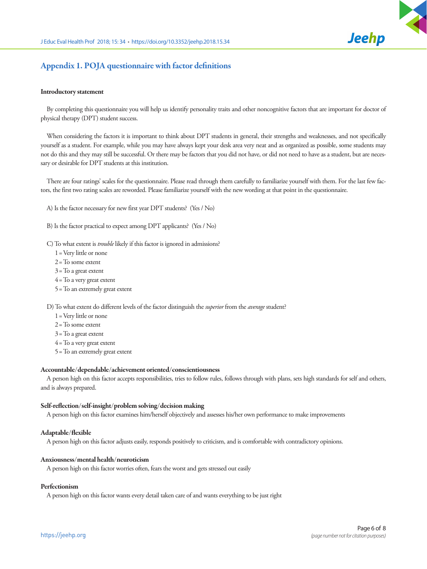

# Appendix 1. POJA questionnaire with factor definitions

#### Introductory statement

By completing this questionnaire you will help us identify personality traits and other noncognitive factors that are important for doctor of physical therapy (DPT) student success.

When considering the factors it is important to think about DPT students in general, their strengths and weaknesses, and not specifically yourself as a student. For example, while you may have always kept your desk area very neat and as organized as possible, some students may not do this and they may still be successful. Or there may be factors that you did not have, or did not need to have as a student, but are necessary or desirable for DPT students at this institution.

There are four ratings' scales for the questionnaire. Please read through them carefully to familiarize yourself with them. For the last few factors, the first two rating scales are reworded. Please familiarize yourself with the new wording at that point in the questionnaire.

A) Is the factor necessary for new first year DPT students? (Yes / No)

- B) Is the factor practical to expect among DPT applicants? (Yes / No)
- C) To what extent is *trouble* likely if this factor is ignored in admissions?
	- 1= Very little or none
	- 2= To some extent
	- $3 =$ To a great extent
	- $4 =$  To a very great extent
	- 5= To an extremely great extent

D) To what extent do different levels of the factor distinguish the *superior* from the *average* student?

- 1= Very little or none
- 2= To some extent
- 3= To a great extent
- 4= To a very great extent
- 5= To an extremely great extent

#### Accountable/dependable/achievement oriented/conscientiousness

A person high on this factor accepts responsibilities, tries to follow rules, follows through with plans, sets high standards for self and others, and is always prepared.

#### Self-reflection/self-insight/problem solving/decision making

A person high on this factor examines him/herself objectively and assesses his/her own performance to make improvements

#### Adaptable/flexible

A person high on this factor adjusts easily, responds positively to criticism, and is comfortable with contradictory opinions.

### Anxiousness/mental health/neuroticism

A person high on this factor worries often, fears the worst and gets stressed out easily

#### Perfectionism

A person high on this factor wants every detail taken care of and wants everything to be just right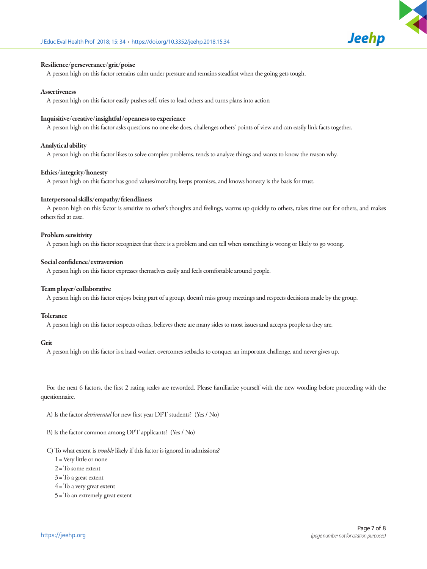



# Resilience/perseverance/grit/poise

A person high on this factor remains calm under pressure and remains steadfast when the going gets tough.

# **Assertiveness**

A person high on this factor easily pushes self, tries to lead others and turns plans into action

# Inquisitive/creative/insightful/openness to experience

A person high on this factor asks questions no one else does, challenges others' points of view and can easily link facts together.

# Analytical ability

A person high on this factor likes to solve complex problems, tends to analyze things and wants to know the reason why.

# Ethics/integrity/honesty

A person high on this factor has good values/morality, keeps promises, and knows honesty is the basis for trust.

# Interpersonal skills/empathy/friendliness

A person high on this factor is sensitive to other's thoughts and feelings, warms up quickly to others, takes time out for others, and makes others feel at ease.

# Problem sensitivity

A person high on this factor recognizes that there is a problem and can tell when something is wrong or likely to go wrong.

# Social confidence/extraversion

A person high on this factor expresses themselves easily and feels comfortable around people.

# Team player/collaborative

A person high on this factor enjoys being part of a group, doesn't miss group meetings and respects decisions made by the group.

# Tolerance

A person high on this factor respects others, believes there are many sides to most issues and accepts people as they are.

# Grit

A person high on this factor is a hard worker, overcomes setbacks to conquer an important challenge, and never gives up.

For the next 6 factors, the first 2 rating scales are reworded. Please familiarize yourself with the new wording before proceeding with the questionnaire.

A) Is the factor *detrimental* for new first year DPT students? (Yes / No)

- B) Is the factor common among DPT applicants? (Yes / No)
- C) To what extent is *trouble* likely if this factor is ignored in admissions?
	- 1= Very little or none
	- 2= To some extent
	- $3 =$ To a great extent
	- $4 =$  To a very great extent
	- 5= To an extremely great extent